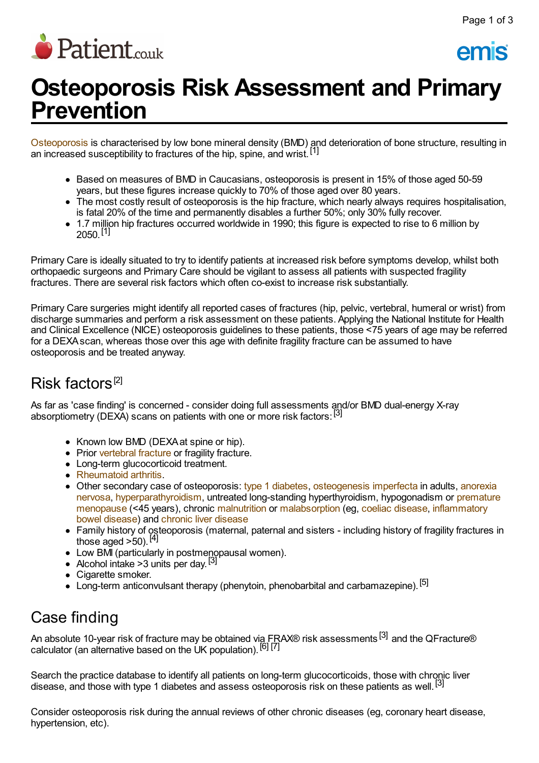

emis

# **Osteoporosis Risk Assessment and Primary Prevention**

[Osteoporosis](http://www.patient.co.uk/doctor/osteoporosis-pro) is characterised by low bone mineral density (BMD) and deterioration of bone structure, resulting in an increased susceptibility to fractures of the hip, spine, and wrist.<sup>[1]</sup>

- Based on measures of BMD in Caucasians, osteoporosis is present in 15% of those aged 50-59 years, but these figures increase quickly to 70% of those aged over 80 years.
- The most costly result of osteoporosis is the hip fracture, which nearly always requires hospitalisation, is fatal 20% of the time and permanently disables a further 50%; only 30% fully recover.
- 1.7 million hip fractures occurred worldwide in 1990; this figure is expected to rise to 6 million by  $2050$ . [1]

Primary Care is ideally situated to try to identify patients at increased risk before symptoms develop, whilst both orthopaedic surgeons and Primary Care should be vigilant to assess all patients with suspected fragility fractures. There are several risk factors which often co-exist to increase risk substantially.

Primary Care surgeries might identify all reported cases of fractures (hip, pelvic, vertebral, humeral or wrist) from discharge summaries and perform a risk assessment on these patients. Applying the National Institute for Health and Clinical Excellence (NICE) osteoporosis guidelines to these patients, those <75 years of age may be referred for a DEXAscan, whereas those over this age with definite fragility fracture can be assumed to have osteoporosis and be treated anyway.

# Risk factors [2]

As far as 'case finding' is concerned - consider doing full assessments and/or BMD dual-energy X-ray absorptiometry (DEXA) scans on patients with one or more risk factors:<sup>[3]</sup>

- Known low BMD (DEXA at spine or hip).
- Prior [vertebral](http://www.patient.co.uk/search.asp?searchterm=VERTEBRAL+FRACTURE&collections=PPsearch) fracture or fragility fracture.
- Long-term glucocorticoid treatment.
- [Rheumatoid](http://www.patient.co.uk/search.asp?searchterm=RHEUMATOID+ARTHRITIS&collections=PPsearch) arthritis.
- Other secondary case of osteoporosis: type 1 [diabetes](http://www.patient.co.uk/search.asp?searchterm=INSULIN+DEPENDENT+DIABETES+MELLITUS&collections=PPsearch), [osteogenesis](http://www.patient.co.uk/doctor/osteogenesis-imperfecta) imperfecta in adults, anorexia nervosa, [hyperparathyroidism,](http://www.patient.co.uk/search.asp?searchterm=PREMATURE+MENOPAUSE&collections=PPsearch) untreated long-standing hyperthyroidism, hypogonadism or premature menopause (<45 years), chronic [malnutrition](http://www.patient.co.uk/search.asp?searchterm=MALNUTRITION&collections=PPsearch) or [malabsorption](http://www.patient.co.uk/search.asp?searchterm=INFLAMMATORY+BOWEL+DISEASE&collections=PPsearch) (eg, coeliac [disease,](http://www.patient.co.uk/search.asp?searchterm=COELIAC+DISEASE&collections=PPsearch) inflammatory bowel disease) and chronic liver [disease](http://www.patient.co.uk/search.asp?searchterm=CHRONIC+LIVER+FAILURE&collections=PPsearch)
- Family history of osteoporosis (maternal, paternal and sisters including history of fragility fractures in those aged  $>50$ ).  $\overline{[4]}$
- Low BMI (particularly in postmenopausal women).
- Alcohol intake >3 units per day.<sup>[3]</sup>
- Cigarette smoker.
- Long-term anticonvulsant therapy (phenytoin, phenobarbital and carbamazepine).<sup>[5]</sup>

# Case finding

An absolute 10-year risk of fracture may be obtained vi<u>a FR</u>AX® risk assessments <sup>[3]</sup> and the QFracture® calculator (an alternative based on the UK population). <sup>[6]</sup> [7]

Search the practice database to identify all patients on long-term glucocorticoids, those with chronic liver disease, and those with type 1 diabetes and assess osteoporosis risk on these patients as well.<sup>[3]</sup>

Consider osteoporosis risk during the annual reviews of other chronic diseases (eg, coronary heart disease, hypertension, etc).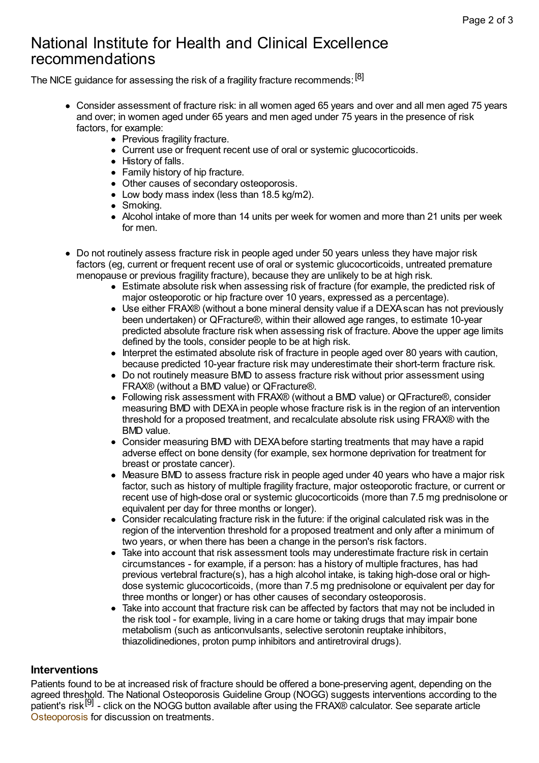### National Institute for Health and Clinical Excellence recommendations

The NICE guidance for assessing the risk of a fragility fracture recommends: [8]

- Consider assessment of fracture risk: in all women aged 65 years and over and all men aged 75 years and over; in women aged under 65 years and men aged under 75 years in the presence of risk factors, for example:
	- Previous fragility fracture.
	- Current use or frequent recent use of oral or systemic glucocorticoids.
	- History of falls.
	- Family history of hip fracture.
	- Other causes of secondary osteoporosis.
	- $\bullet$  Low body mass index (less than 18.5 kg/m2).
	- Smoking.
	- Alcohol intake of more than 14 units per week for women and more than 21 units per week for men.
- Do not routinely assess fracture risk in people aged under 50 years unless they have major risk factors (eg, current or frequent recent use of oral or systemic glucocorticoids, untreated premature menopause or previous fragility fracture), because they are unlikely to be at high risk.
	- Estimate absolute risk when assessing risk of fracture (for example, the predicted risk of major osteoporotic or hip fracture over 10 years, expressed as a percentage).
	- Use either FRAX® (without a bone mineral density value if a DEXA scan has not previously been undertaken) or QFracture®, within their allowed age ranges, to estimate 10-year predicted absolute fracture risk when assessing risk of fracture. Above the upper age limits defined by the tools, consider people to be at high risk.
	- $\bullet$  Interpret the estimated absolute risk of fracture in people aged over 80 years with caution, because predicted 10-year fracture risk may underestimate their short-term fracture risk.
	- Do not routinely measure BMD to assess fracture risk without prior assessment using FRAX® (without a BMD value) or QFracture®.
	- Following risk assessment with FRAX® (without a BMD value) or QFracture®, consider measuring BMD with DEXAin people whose fracture risk is in the region of an intervention threshold for a proposed treatment, and recalculate absolute risk using FRAX® with the BMD value.
	- Consider measuring BMD with DEXAbefore starting treatments that may have a rapid adverse effect on bone density (for example, sex hormone deprivation for treatment for breast or prostate cancer).
	- Measure BMD to assess fracture risk in people aged under 40 years who have a major risk factor, such as history of multiple fragility fracture, major osteoporotic fracture, or current or recent use of high-dose oral or systemic glucocorticoids (more than 7.5 mg prednisolone or equivalent per day for three months or longer).
	- Consider recalculating fracture risk in the future: if the original calculated risk was in the region of the intervention threshold for a proposed treatment and only after a minimum of two years, or when there has been a change in the person's risk factors.
	- Take into account that risk assessment tools may underestimate fracture risk in certain circumstances - for example, if a person: has a history of multiple fractures, has had previous vertebral fracture(s), has a high alcohol intake, is taking high-dose oral or highdose systemic glucocorticoids, (more than 7.5 mg prednisolone or equivalent per day for three months or longer) or has other causes of secondary osteoporosis.
	- Take into account that fracture risk can be affected by factors that may not be included in the risk tool - for example, living in a care home or taking drugs that may impair bone metabolism (such as anticonvulsants, selective serotonin reuptake inhibitors, thiazolidinediones, proton pump inhibitors and antiretroviral drugs).

#### **Interventions**

Patients found to be at increased risk of fracture should be offered a bone-preserving agent, depending on the agreed threshold. The National Osteoporosis Guideline Group (NOGG) suggests interventions according to the patient's risk [9] - click on the NOGG button available after using the FRAX® calculator. See separate article [Osteoporosis](http://www.patient.co.uk/doctor/osteoporosis-pro) for discussion on treatments.